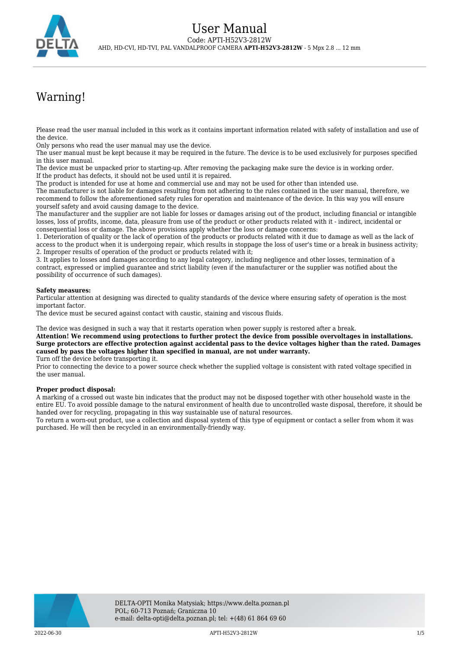

# Warning!

Please read the user manual included in this work as it contains important information related with safety of installation and use of the device.

Only persons who read the user manual may use the device.

The user manual must be kept because it may be required in the future. The device is to be used exclusively for purposes specified in this user manual.

The device must be unpacked prior to starting-up. After removing the packaging make sure the device is in working order. If the product has defects, it should not be used until it is repaired.

The product is intended for use at home and commercial use and may not be used for other than intended use.

The manufacturer is not liable for damages resulting from not adhering to the rules contained in the user manual, therefore, we recommend to follow the aforementioned safety rules for operation and maintenance of the device. In this way you will ensure yourself safety and avoid causing damage to the device.

The manufacturer and the supplier are not liable for losses or damages arising out of the product, including financial or intangible losses, loss of profits, income, data, pleasure from use of the product or other products related with it - indirect, incidental or consequential loss or damage. The above provisions apply whether the loss or damage concerns:

1. Deterioration of quality or the lack of operation of the products or products related with it due to damage as well as the lack of access to the product when it is undergoing repair, which results in stoppage the loss of user's time or a break in business activity; 2. Improper results of operation of the product or products related with it;

3. It applies to losses and damages according to any legal category, including negligence and other losses, termination of a contract, expressed or implied guarantee and strict liability (even if the manufacturer or the supplier was notified about the possibility of occurrence of such damages).

#### **Safety measures:**

Particular attention at designing was directed to quality standards of the device where ensuring safety of operation is the most important factor.

The device must be secured against contact with caustic, staining and viscous fluids.

The device was designed in such a way that it restarts operation when power supply is restored after a break.

**Attention! We recommend using protections to further protect the device from possible overvoltages in installations. Surge protectors are effective protection against accidental pass to the device voltages higher than the rated. Damages caused by pass the voltages higher than specified in manual, are not under warranty.**

Turn off the device before transporting it.

Prior to connecting the device to a power source check whether the supplied voltage is consistent with rated voltage specified in the user manual.

#### **Proper product disposal:**

A marking of a crossed out waste bin indicates that the product may not be disposed together with other household waste in the entire EU. To avoid possible damage to the natural environment of health due to uncontrolled waste disposal, therefore, it should be handed over for recycling, propagating in this way sustainable use of natural resources.

To return a worn-out product, use a collection and disposal system of this type of equipment or contact a seller from whom it was purchased. He will then be recycled in an environmentally-friendly way.



2022-06-30 APTI-H52V3-2812W 1/5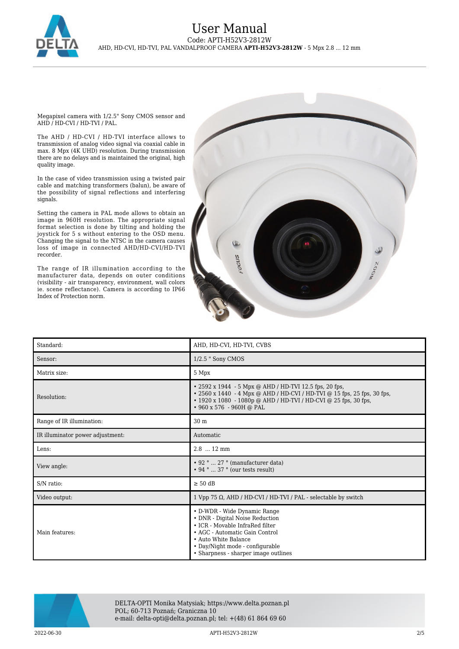

### User Manual Code: APTI-H52V3-2812W AHD, HD-CVI, HD-TVI, PAL VANDALPROOF CAMERA **APTI-H52V3-2812W** - 5 Mpx 2.8 ... 12 mm

Megapixel camera with 1/2.5" Sony CMOS sensor and AHD / HD-CVI / HD-TVI / PAL.

The AHD / HD-CVI / HD-TVI interface allows to transmission of analog video signal via coaxial cable in max. 8 Mpx (4K UHD) resolution. During transmission there are no delays and is maintained the original, high quality image.

In the case of video transmission using a twisted pair cable and matching transformers (balun), be aware of the possibility of signal reflections and interfering signals.

Setting the camera in PAL mode allows to obtain an image in 960H resolution. The appropriate signal format selection is done by tilting and holding the joystick for 5 s without entering to the OSD menu. Changing the signal to the NTSC in the camera causes loss of image in connected AHD/HD-CVI/HD-TVI recorder.

The range of IR illumination according to the manufacturer data, depends on outer conditions (visibility - air transparency, environment, wall colors ie. scene reflectance). Camera is according to IP66 Index of Protection norm.



| Standard:                        | AHD, HD-CVI, HD-TVI, CVBS                                                                                                                                                                                                               |
|----------------------------------|-----------------------------------------------------------------------------------------------------------------------------------------------------------------------------------------------------------------------------------------|
| Sensor:                          | $1/2.5$ " Sony CMOS                                                                                                                                                                                                                     |
| Matrix size:                     | 5 Mpx                                                                                                                                                                                                                                   |
| Resolution:                      | • 2592 x 1944 - 5 Mpx @ AHD / HD-TVI 12.5 fps, 20 fps,<br>• 2560 x 1440 - 4 Mpx @ AHD / HD-CVI / HD-TVI @ 15 fps, 25 fps, 30 fps,<br>• 1920 x 1080 - 1080p @ AHD / HD-TVI / HD-CVI @ 25 fps, 30 fps,<br>$\cdot$ 960 x 576 - 960H @ PAL  |
| Range of IR illumination:        | 30 <sub>m</sub>                                                                                                                                                                                                                         |
| IR illuminator power adjustment: | Automatic                                                                                                                                                                                                                               |
| Lens:                            | $2.8$ 12 mm                                                                                                                                                                                                                             |
| View angle:                      | • 92 °  27 ° (manufacturer data)<br>$\cdot$ 94 °  37 ° (our tests result)                                                                                                                                                               |
| S/N ratio:                       | $\geq 50$ dB                                                                                                                                                                                                                            |
| Video output:                    | 1 Vpp 75 Ω, AHD / HD-CVI / HD-TVI / PAL - selectable by switch                                                                                                                                                                          |
| Main features:                   | • D-WDR - Wide Dynamic Range<br>• DNR - Digital Noise Reduction<br>• ICR - Movable InfraRed filter<br>• AGC - Automatic Gain Control<br>• Auto White Balance<br>• Day/Night mode - configurable<br>• Sharpness - sharper image outlines |



DELTA-OPTI Monika Matysiak; https://www.delta.poznan.pl POL; 60-713 Poznań; Graniczna 10 e-mail: delta-opti@delta.poznan.pl; tel: +(48) 61 864 69 60

2022-06-30 APTI-H52V3-2812W 2/5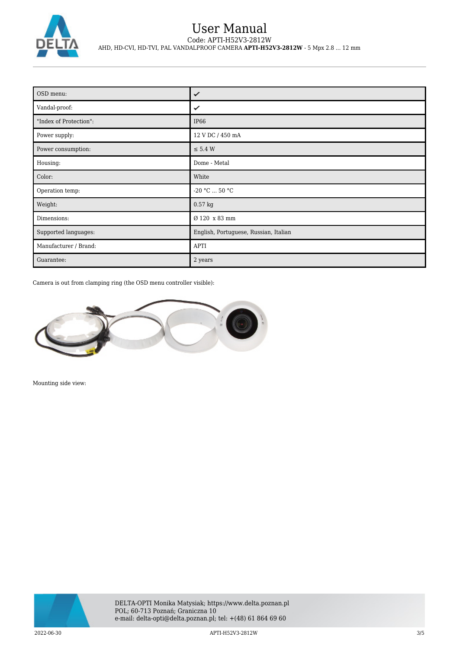

## User Manual Code: APTI-H52V3-2812W AHD, HD-CVI, HD-TVI, PAL VANDALPROOF CAMERA **APTI-H52V3-2812W** - 5 Mpx 2.8 ... 12 mm

| OSD menu:              | ✓                                     |
|------------------------|---------------------------------------|
| Vandal-proof:          | ✓                                     |
| "Index of Protection": | IP <sub>66</sub>                      |
| Power supply:          | 12 V DC / 450 mA                      |
| Power consumption:     | $\leq$ 5.4 W                          |
| Housing:               | Dome - Metal                          |
| Color:                 | White                                 |
| Operation temp:        | $-20 °C  50 °C$                       |
| Weight:                | $0.57$ kg                             |
| Dimensions:            | Ø 120 x 83 mm                         |
| Supported languages:   | English, Portuguese, Russian, Italian |
| Manufacturer / Brand:  | <b>APTI</b>                           |
| Guarantee:             | 2 years                               |

Camera is out from clamping ring (the OSD menu controller visible):



Mounting side view:

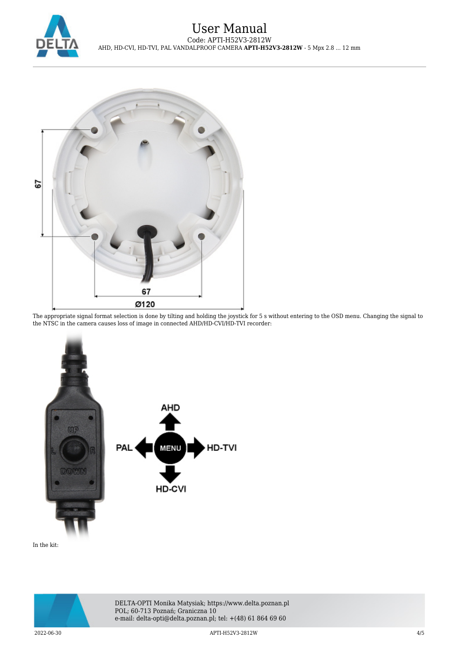



The appropriate signal format selection is done by tilting and holding the joystick for 5 s without entering to the OSD menu. Changing the signal to the NTSC in the camera causes loss of image in connected AHD/HD-CVI/HD-TVI recorder:



In the kit: